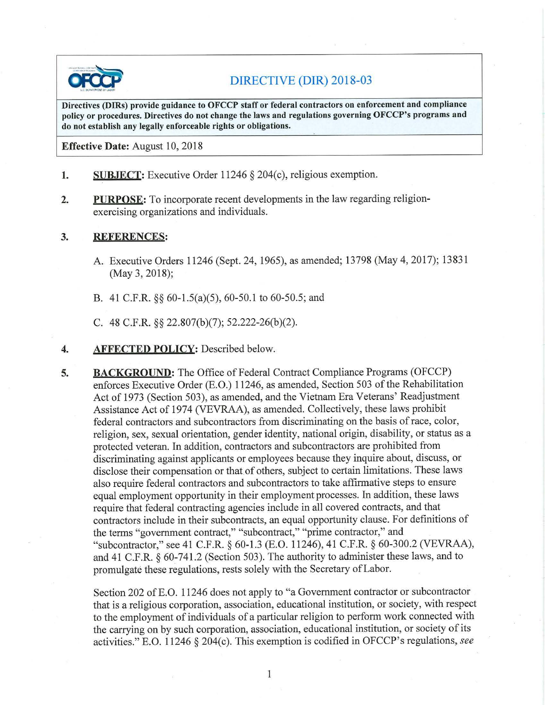

## DIRECTIVE (DIR) 2018-03

**Directives (DIRs) provide guidance to OFCCP staff or federal contractors on enforcement and compliance policy or procedures. Directives do not change the laws and regulations governing OFCCP's programs and do not establish any legally enforceable rights or obligations.** 

**Effective Date:** August 10, 2018

- **1. SUBJECT:** Executive Order 11246 § 204(c), religious exemption.
- **2. PURPOSE:** To incorporate recent developments in the law regarding religionexercising organizations and individuals.

## **3. REFERENCES:**

- A. Executive Orders 11246 (Sept. 24, 1965), as amended; 13798 (May 4, 2017); 13831 (May 3, 2018);
- B. 41 C.F.R. §§ 60-l.5(a)(5), 60-50.1 to 60-50.5; and
- C. 48 C.F.R. §§ 22.807(b)(7); 52.222-26(b)(2).

## **4. AFFECTED POLICY:** Described below.

**5. BACKGROUND:** The Office of Federal Contract Compliance Programs (OFCCP) enforces Executive Order (E.O.) 11246, as amended, Section 503 of the Rehabilitation Act of 1973 (Section 503), as amended, and the Vietnam Era Veterans' Readjustment Assistance Act of 1974 (VEVRAA), as amended. Collectively, these laws prohibit federal contractors and subcontractors from discriminating on the basis of race, color, religion, sex, sexual orientation, gender identity, national origin, disability, or status as a protected veteran. In addition, contractors and subcontractors are prohibited from discriminating against applicants or employees because they inquire about, discuss, or disclose their compensation or that of others, subject to certain limitations. These laws also require federal contractors and subcontractors to take affirmative steps to ensure equal employment opportunity in their employment processes. In addition, these laws require that federal contracting agencies include in all covered contracts, and that contractors include in their subcontracts, an equal opportunity clause. For definitions of the terms "government contract," "subcontract," "prime contractor," and "subcontractor," see 41 C.F.R. § 60-1.3 (E.O. 11246), 41 C.F.R. § 60-300.2 (VEVRAA), and 41 C.F.R. § 60-741.2 (Section 503). The authority to administer these laws, and to promulgate these regulations, rests solely with the Secretary ofLabor.

Section 202 of E.O. 11246 does not apply to "a Government contractor or subcontractor that is a religious corporation, association, educational institution, or society, with respect to the employment of individuals of a particular religion to perform work connected with the carrying on by such corporation, association, educational institution, or society of its activities." E.O. 11246 § 204(c). This exemption is codified in OFCCP's regulations, *see*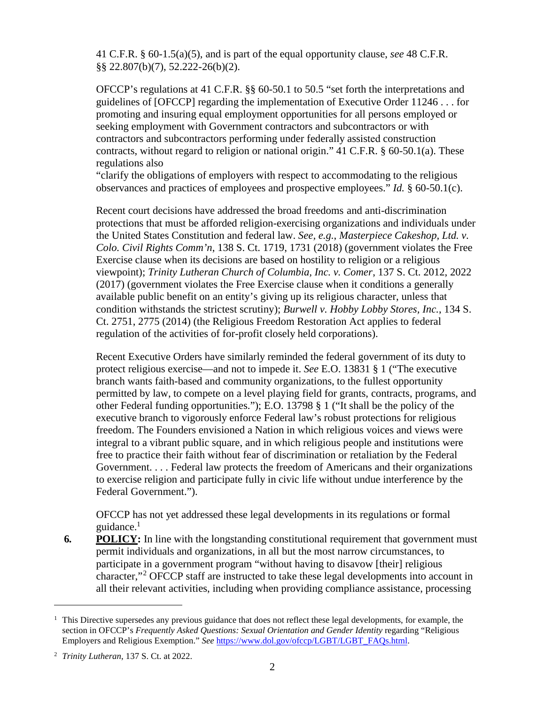41 C.F.R. § 60-1.5(a)(5), and is part of the equal opportunity clause, *see* 48 C.F.R. §§ 22.807(b)(7), 52.222-26(b)(2).

OFCCP's regulations at 41 C.F.R. §§ 60-50.1 to 50.5 "set forth the interpretations and guidelines of [OFCCP] regarding the implementation of Executive Order 11246 . . . for promoting and insuring equal employment opportunities for all persons employed or seeking employment with Government contractors and subcontractors or with contractors and subcontractors performing under federally assisted construction contracts, without regard to religion or national origin." 41 C.F.R. § 60-50.1(a). These regulations also

"clarify the obligations of employers with respect to accommodating to the religious observances and practices of employees and prospective employees." *Id.* § 60-50.1(c).

Recent court decisions have addressed the broad freedoms and anti-discrimination protections that must be afforded religion-exercising organizations and individuals under the United States Constitution and federal law. *See, e.g.*, *Masterpiece Cakeshop, Ltd. v. Colo. Civil Rights Comm'n*, 138 S. Ct. 1719, 1731 (2018) (government violates the Free Exercise clause when its decisions are based on hostility to religion or a religious viewpoint); *Trinity Lutheran Church of Columbia, Inc. v. Comer*, 137 S. Ct. 2012, 2022 (2017) (government violates the Free Exercise clause when it conditions a generally available public benefit on an entity's giving up its religious character, unless that condition withstands the strictest scrutiny); *Burwell v. Hobby Lobby Stores, Inc.*, 134 S. Ct. 2751, 2775 (2014) (the Religious Freedom Restoration Act applies to federal regulation of the activities of for-profit closely held corporations).

Recent Executive Orders have similarly reminded the federal government of its duty to protect religious exercise—and not to impede it. *See* E.O. 13831 § 1 ("The executive branch wants faith-based and community organizations, to the fullest opportunity permitted by law, to compete on a level playing field for grants, contracts, programs, and other Federal funding opportunities."); E.O. 13798 § 1 ("It shall be the policy of the executive branch to vigorously enforce Federal law's robust protections for religious freedom. The Founders envisioned a Nation in which religious voices and views were integral to a vibrant public square, and in which religious people and institutions were free to practice their faith without fear of discrimination or retaliation by the Federal Government. . . . Federal law protects the freedom of Americans and their organizations to exercise religion and participate fully in civic life without undue interference by the Federal Government.").

OFCCP has not yet addressed these legal developments in its regulations or formal guidance.<sup>[1](#page-1-0)</sup>

**6. POLICY:** In line with the longstanding constitutional requirement that government must permit individuals and organizations, in all but the most narrow circumstances, to participate in a government program "without having to disavow [their] religious character,"[2](#page-1-1) OFCCP staff are instructed to take these legal developments into account in all their relevant activities, including when providing compliance assistance, processing

<span id="page-1-0"></span><sup>&</sup>lt;sup>1</sup> This Directive supersedes any previous guidance that does not reflect these legal developments, for example, the section in OFCCP's *Frequently Asked Questions: Sexual Orientation and Gender Identity* regarding "Religious Employers and Religious Exemption." *See* [https://www.dol.gov/ofccp/LGBT/LGBT\\_FAQs.html.](https://www.dol.gov/ofccp/LGBT/LGBT_FAQs.html)

<span id="page-1-1"></span><sup>2</sup> *Trinity Lutheran*, 137 S. Ct. at 2022.